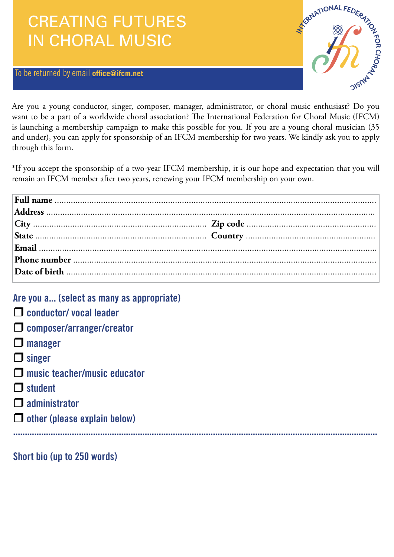## CREATING FUTURES IN CHORAL MUSIC

## To be returned by email **office[@ifcm.net](mailto:nrobin@ifcm.net)**



Are you a young conductor, singer, composer, manager, administrator, or choral music enthusiast? Do you want to be a part of a worldwide choral association? The International Federation for Choral Music (IFCM) is launching a membership campaign to make this possible for you. If you are a young choral musician (35 and under), you can apply for sponsorship of an IFCM membership for two years. We kindly ask you to apply through this form.

\*If you accept the sponsorship of a two-year IFCM membership, it is our hope and expectation that you will remain an IFCM member after two years, renewing your IFCM membership on your own.

| Are you a (select as many as appropriate) |
|-------------------------------------------|
| $\Box$ conductor/vocal leader             |
| $\Box$ composer/arranger/creator          |
| $\Box$ manager                            |
| $\Box$ singer                             |
| $\Box$ music teacher/music educator       |
| $\Box$ student                            |
| $\Box$ administrator                      |
| $\Box$ other (please explain below)       |
|                                           |
|                                           |

Short bio (up to 250 words)